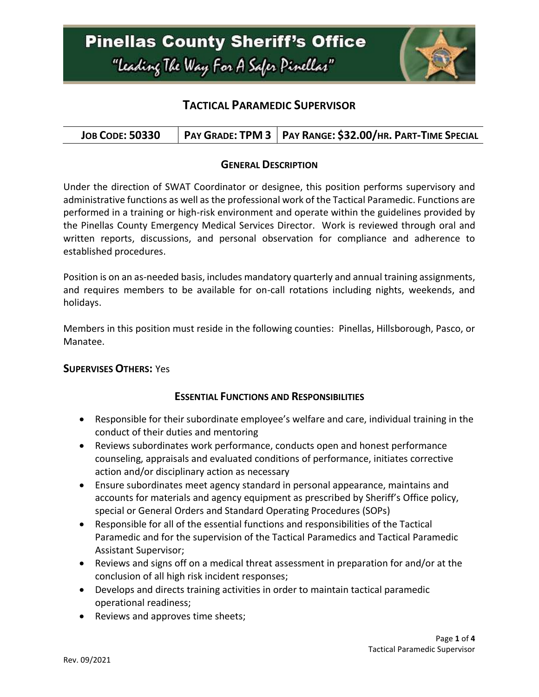

## **TACTICAL PARAMEDIC SUPERVISOR**

| <b>JOB CODE: 50330</b> | PAY GRADE: TPM 3   PAY RANGE: \$32.00/HR. PART-TIME SPECIAL |
|------------------------|-------------------------------------------------------------|
|------------------------|-------------------------------------------------------------|

#### **GENERAL DESCRIPTION**

Under the direction of SWAT Coordinator or designee, this position performs supervisory and administrative functions as well as the professional work of the Tactical Paramedic. Functions are performed in a training or high-risk environment and operate within the guidelines provided by the Pinellas County Emergency Medical Services Director. Work is reviewed through oral and written reports, discussions, and personal observation for compliance and adherence to established procedures.

Position is on an as-needed basis, includes mandatory quarterly and annual training assignments, and requires members to be available for on-call rotations including nights, weekends, and holidays.

Members in this position must reside in the following counties: Pinellas, Hillsborough, Pasco, or Manatee.

#### **SUPERVISES OTHERS:** Yes

### **ESSENTIAL FUNCTIONS AND RESPONSIBILITIES**

- Responsible for their subordinate employee's welfare and care, individual training in the conduct of their duties and mentoring
- Reviews subordinates work performance, conducts open and honest performance counseling, appraisals and evaluated conditions of performance, initiates corrective action and/or disciplinary action as necessary
- Ensure subordinates meet agency standard in personal appearance, maintains and accounts for materials and agency equipment as prescribed by Sheriff's Office policy, special or General Orders and Standard Operating Procedures (SOPs)
- Responsible for all of the essential functions and responsibilities of the Tactical Paramedic and for the supervision of the Tactical Paramedics and Tactical Paramedic Assistant Supervisor;
- Reviews and signs off on a medical threat assessment in preparation for and/or at the conclusion of all high risk incident responses;
- Develops and directs training activities in order to maintain tactical paramedic operational readiness;
- Reviews and approves time sheets;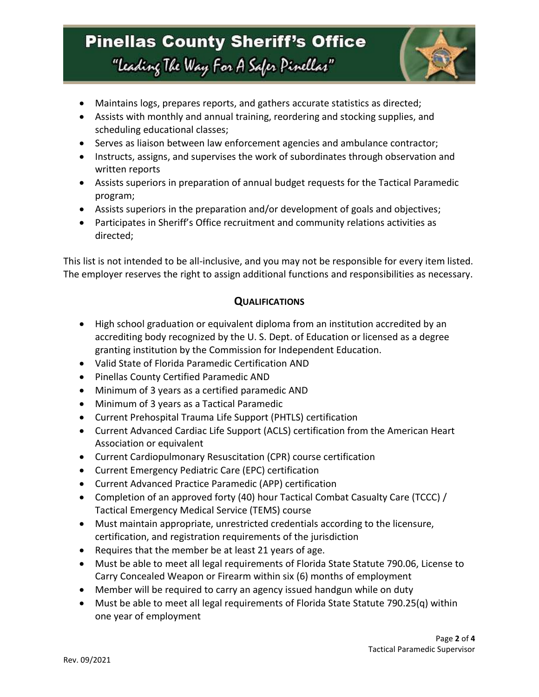# **Pinellas County Sheriff's Office** "Leading The Way For A Safer Pinellar"



- Maintains logs, prepares reports, and gathers accurate statistics as directed;
- Assists with monthly and annual training, reordering and stocking supplies, and scheduling educational classes;
- Serves as liaison between law enforcement agencies and ambulance contractor;
- Instructs, assigns, and supervises the work of subordinates through observation and written reports
- Assists superiors in preparation of annual budget requests for the Tactical Paramedic program;
- Assists superiors in the preparation and/or development of goals and objectives;
- Participates in Sheriff's Office recruitment and community relations activities as directed;

This list is not intended to be all-inclusive, and you may not be responsible for every item listed. The employer reserves the right to assign additional functions and responsibilities as necessary.

## **QUALIFICATIONS**

- High school graduation or equivalent diploma from an institution accredited by an accrediting body recognized by the U. S. Dept. of Education or licensed as a degree granting institution by the Commission for Independent Education.
- Valid State of Florida Paramedic Certification AND
- Pinellas County Certified Paramedic AND
- Minimum of 3 years as a certified paramedic AND
- Minimum of 3 years as a Tactical Paramedic
- Current Prehospital Trauma Life Support (PHTLS) certification
- Current Advanced Cardiac Life Support (ACLS) certification from the American Heart Association or equivalent
- Current Cardiopulmonary Resuscitation (CPR) course certification
- Current Emergency Pediatric Care (EPC) certification
- Current Advanced Practice Paramedic (APP) certification
- Completion of an approved forty (40) hour Tactical Combat Casualty Care (TCCC) / Tactical Emergency Medical Service (TEMS) course
- Must maintain appropriate, unrestricted credentials according to the licensure, certification, and registration requirements of the jurisdiction
- Requires that the member be at least 21 years of age.
- Must be able to meet all legal requirements of Florida State Statute 790.06, License to Carry Concealed Weapon or Firearm within six (6) months of employment
- Member will be required to carry an agency issued handgun while on duty
- Must be able to meet all legal requirements of Florida State Statute 790.25(q) within one year of employment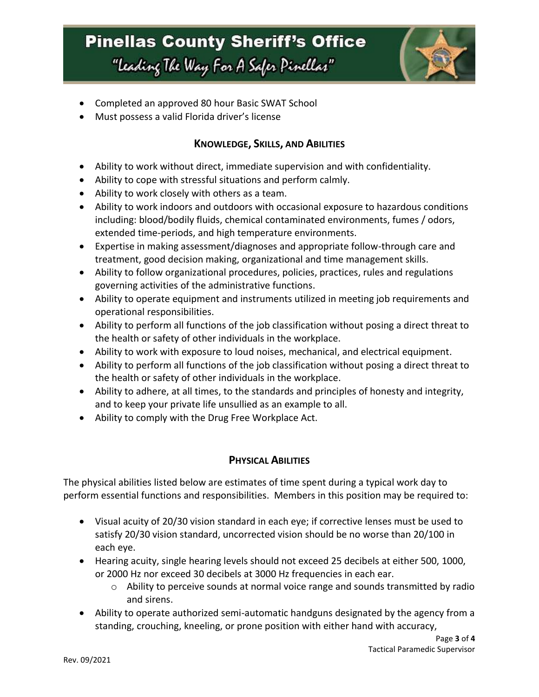# **Pinellas County Sheriff's Office** "Leading The Way For A Safer Pinellar"



- Completed an approved 80 hour Basic SWAT School
- Must possess a valid Florida driver's license

### **KNOWLEDGE, SKILLS, AND ABILITIES**

- Ability to work without direct, immediate supervision and with confidentiality.
- Ability to cope with stressful situations and perform calmly.
- Ability to work closely with others as a team.
- Ability to work indoors and outdoors with occasional exposure to hazardous conditions including: blood/bodily fluids, chemical contaminated environments, fumes / odors, extended time-periods, and high temperature environments.
- Expertise in making assessment/diagnoses and appropriate follow-through care and treatment, good decision making, organizational and time management skills.
- Ability to follow organizational procedures, policies, practices, rules and regulations governing activities of the administrative functions.
- Ability to operate equipment and instruments utilized in meeting job requirements and operational responsibilities.
- Ability to perform all functions of the job classification without posing a direct threat to the health or safety of other individuals in the workplace.
- Ability to work with exposure to loud noises, mechanical, and electrical equipment.
- Ability to perform all functions of the job classification without posing a direct threat to the health or safety of other individuals in the workplace.
- Ability to adhere, at all times, to the standards and principles of honesty and integrity, and to keep your private life unsullied as an example to all.
- Ability to comply with the Drug Free Workplace Act.

### **PHYSICAL ABILITIES**

The physical abilities listed below are estimates of time spent during a typical work day to perform essential functions and responsibilities. Members in this position may be required to:

- Visual acuity of 20/30 vision standard in each eye; if corrective lenses must be used to satisfy 20/30 vision standard, uncorrected vision should be no worse than 20/100 in each eye.
- Hearing acuity, single hearing levels should not exceed 25 decibels at either 500, 1000, or 2000 Hz nor exceed 30 decibels at 3000 Hz frequencies in each ear.
	- o Ability to perceive sounds at normal voice range and sounds transmitted by radio and sirens.
- Ability to operate authorized semi-automatic handguns designated by the agency from a standing, crouching, kneeling, or prone position with either hand with accuracy,